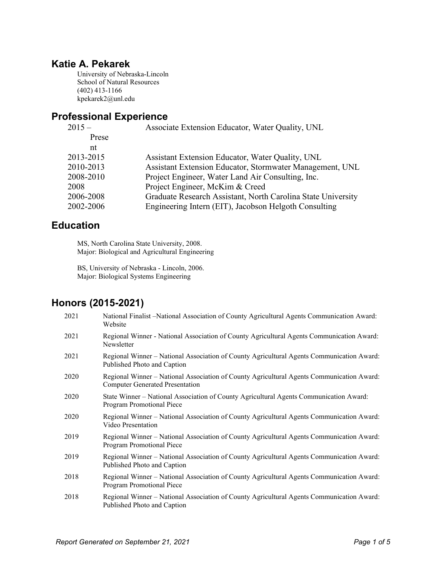## **Katie A. Pekarek**

University of Nebraska-Lincoln School of Natural Resources (402) 413-1166 kpekarek2@unl.edu

### **Professional Experience**

| $2015 -$  | Associate Extension Educator, Water Quality, UNL             |  |  |  |
|-----------|--------------------------------------------------------------|--|--|--|
| Prese     |                                                              |  |  |  |
| nt        |                                                              |  |  |  |
| 2013-2015 | Assistant Extension Educator, Water Quality, UNL             |  |  |  |
| 2010-2013 | Assistant Extension Educator, Stormwater Management, UNL     |  |  |  |
| 2008-2010 | Project Engineer, Water Land Air Consulting, Inc.            |  |  |  |
| 2008      | Project Engineer, McKim & Creed                              |  |  |  |
| 2006-2008 | Graduate Research Assistant, North Carolina State University |  |  |  |
| 2002-2006 | Engineering Intern (EIT), Jacobson Helgoth Consulting        |  |  |  |
|           |                                                              |  |  |  |

## **Education**

MS, North Carolina State University, 2008. Major: Biological and Agricultural Engineering

BS, University of Nebraska - Lincoln, 2006. Major: Biological Systems Engineering

# **Honors (2015-2021)**

| 2021 | National Finalist -National Association of County Agricultural Agents Communication Award:<br>Website                               |
|------|-------------------------------------------------------------------------------------------------------------------------------------|
| 2021 | Regional Winner - National Association of County Agricultural Agents Communication Award:<br>Newsletter                             |
| 2021 | Regional Winner - National Association of County Agricultural Agents Communication Award:<br>Published Photo and Caption            |
| 2020 | Regional Winner – National Association of County Agricultural Agents Communication Award:<br><b>Computer Generated Presentation</b> |
| 2020 | State Winner – National Association of County Agricultural Agents Communication Award:<br>Program Promotional Piece                 |
| 2020 | Regional Winner - National Association of County Agricultural Agents Communication Award:<br>Video Presentation                     |
| 2019 | Regional Winner – National Association of County Agricultural Agents Communication Award:<br><b>Program Promotional Piece</b>       |
| 2019 | Regional Winner – National Association of County Agricultural Agents Communication Award:<br>Published Photo and Caption            |
| 2018 | Regional Winner - National Association of County Agricultural Agents Communication Award:<br>Program Promotional Piece              |
| 2018 | Regional Winner – National Association of County Agricultural Agents Communication Award:<br>Published Photo and Caption            |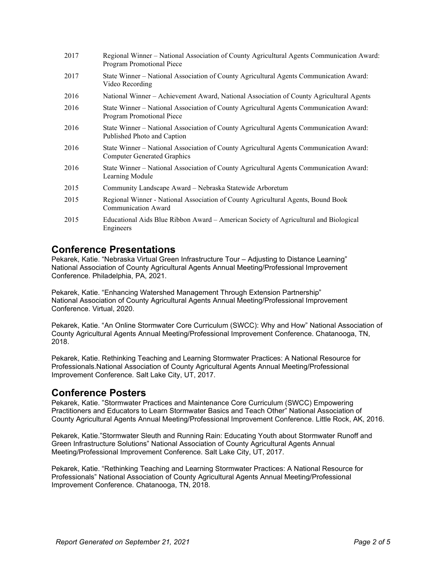| 2017 | Regional Winner – National Association of County Agricultural Agents Communication Award:<br>Program Promotional Piece     |
|------|----------------------------------------------------------------------------------------------------------------------------|
| 2017 | State Winner – National Association of County Agricultural Agents Communication Award:<br>Video Recording                  |
| 2016 | National Winner – Achievement Award, National Association of County Agricultural Agents                                    |
| 2016 | State Winner – National Association of County Agricultural Agents Communication Award:<br><b>Program Promotional Piece</b> |
| 2016 | State Winner – National Association of County Agricultural Agents Communication Award:<br>Published Photo and Caption      |
| 2016 | State Winner – National Association of County Agricultural Agents Communication Award:<br>Computer Generated Graphics      |
| 2016 | State Winner - National Association of County Agricultural Agents Communication Award:<br>Learning Module                  |
| 2015 | Community Landscape Award – Nebraska Statewide Arboretum                                                                   |
| 2015 | Regional Winner - National Association of County Agricultural Agents, Bound Book<br>Communication Award                    |
| 2015 | Educational Aids Blue Ribbon Award – American Society of Agricultural and Biological<br>Engineers                          |

### **Conference Presentations**

Pekarek, Katie. "Nebraska Virtual Green Infrastructure Tour – Adjusting to Distance Learning" National Association of County Agricultural Agents Annual Meeting/Professional Improvement Conference. Philadelphia, PA, 2021.

Pekarek, Katie. "Enhancing Watershed Management Through Extension Partnership" National Association of County Agricultural Agents Annual Meeting/Professional Improvement Conference. Virtual, 2020.

Pekarek, Katie. "An Online Stormwater Core Curriculum (SWCC): Why and How" National Association of County Agricultural Agents Annual Meeting/Professional Improvement Conference. Chatanooga, TN, 2018.

Pekarek, Katie. Rethinking Teaching and Learning Stormwater Practices: A National Resource for Professionals.National Association of County Agricultural Agents Annual Meeting/Professional Improvement Conference. Salt Lake City, UT, 2017.

### **Conference Posters**

Pekarek, Katie. "Stormwater Practices and Maintenance Core Curriculum (SWCC) Empowering Practitioners and Educators to Learn Stormwater Basics and Teach Other" National Association of County Agricultural Agents Annual Meeting/Professional Improvement Conference. Little Rock, AK, 2016.

Pekarek, Katie."Stormwater Sleuth and Running Rain: Educating Youth about Stormwater Runoff and Green Infrastructure Solutions" National Association of County Agricultural Agents Annual Meeting/Professional Improvement Conference. Salt Lake City, UT, 2017.

Pekarek, Katie. "Rethinking Teaching and Learning Stormwater Practices: A National Resource for Professionals" National Association of County Agricultural Agents Annual Meeting/Professional Improvement Conference. Chatanooga, TN, 2018.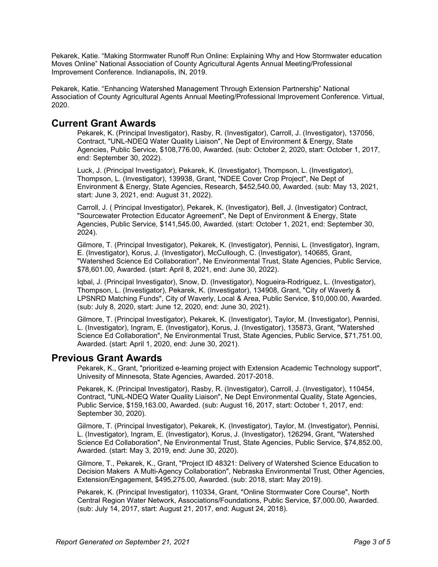Pekarek, Katie. "Making Stormwater Runoff Run Online: Explaining Why and How Stormwater education Moves Online" National Association of County Agricultural Agents Annual Meeting/Professional Improvement Conference. Indianapolis, IN, 2019.

Pekarek, Katie. "Enhancing Watershed Management Through Extension Partnership" National Association of County Agricultural Agents Annual Meeting/Professional Improvement Conference. Virtual, 2020.

### **Current Grant Awards**

Pekarek, K. (Principal Investigator), Rasby, R. (Investigator), Carroll, J. (Investigator), 137056, Contract, "UNL-NDEQ Water Quality Liaison", Ne Dept of Environment & Energy, State Agencies, Public Service, \$108,776.00, Awarded. (sub: October 2, 2020, start: October 1, 2017, end: September 30, 2022).

Luck, J. (Principal Investigator), Pekarek, K. (Investigator), Thompson, L. (Investigator), Thompson, L. (Investigator), 139938, Grant, "NDEE Cover Crop Project", Ne Dept of Environment & Energy, State Agencies, Research, \$452,540.00, Awarded. (sub: May 13, 2021, start: June 3, 2021, end: August 31, 2022).

Carroll, J. ( Principal Investigator), Pekarek, K. (Investigator), Bell, J. (Investigator) Contract, "Sourcewater Protection Educator Agreement", Ne Dept of Environment & Energy, State Agencies, Public Service, \$141,545.00, Awarded. (start: October 1, 2021, end: September 30, 2024).

Gilmore, T. (Principal Investigator), Pekarek, K. (Investigator), Pennisi, L. (Investigator), Ingram, E. (Investigator), Korus, J. (Investigator), McCullough, C. (Investigator), 140685, Grant, "Watershed Science Ed Collaboration", Ne Environmental Trust, State Agencies, Public Service, \$78,601.00, Awarded. (start: April 8, 2021, end: June 30, 2022).

Iqbal, J. (Principal Investigator), Snow, D. (Investigator), Nogueira-Rodriguez, L. (Investigator), Thompson, L. (Investigator), Pekarek, K. (Investigator), 134908, Grant, "City of Waverly & LPSNRD Matching Funds", City of Waverly, Local & Area, Public Service, \$10,000.00, Awarded. (sub: July 8, 2020, start: June 12, 2020, end: June 30, 2021).

Gilmore, T. (Principal Investigator), Pekarek, K. (Investigator), Taylor, M. (Investigator), Pennisi, L. (Investigator), Ingram, E. (Investigator), Korus, J. (Investigator), 135873, Grant, "Watershed Science Ed Collaboration", Ne Environmental Trust, State Agencies, Public Service, \$71,751.00, Awarded. (start: April 1, 2020, end: June 30, 2021).

#### **Previous Grant Awards**

Pekarek, K., Grant, "prioritized e-learning project with Extension Academic Technology support", Univesity of Minnesota, State Agencies, Awarded. 2017-2018.

Pekarek, K. (Principal Investigator), Rasby, R. (Investigator), Carroll, J. (Investigator), 110454, Contract, "UNL-NDEQ Water Quality Liaison", Ne Dept Environmental Quality, State Agencies, Public Service, \$159,163.00, Awarded. (sub: August 16, 2017, start: October 1, 2017, end: September 30, 2020).

Gilmore, T. (Principal Investigator), Pekarek, K. (Investigator), Taylor, M. (Investigator), Pennisi, L. (Investigator), Ingram, E. (Investigator), Korus, J. (Investigator), 126294, Grant, "Watershed Science Ed Collaboration", Ne Environmental Trust, State Agencies, Public Service, \$74,852.00, Awarded. (start: May 3, 2019, end: June 30, 2020).

Gilmore, T., Pekarek, K., Grant, "Project ID 48321: Delivery of Watershed Science Education to Decision Makers A Multi-Agency Collaboration", Nebraska Environmental Trust, Other Agencies, Extension/Engagement, \$495,275.00, Awarded. (sub: 2018, start: May 2019).

Pekarek, K. (Principal Investigator), 110334, Grant, "Online Stormwater Core Course", North Central Region Water Network, Associations/Foundations, Public Service, \$7,000.00, Awarded. (sub: July 14, 2017, start: August 21, 2017, end: August 24, 2018).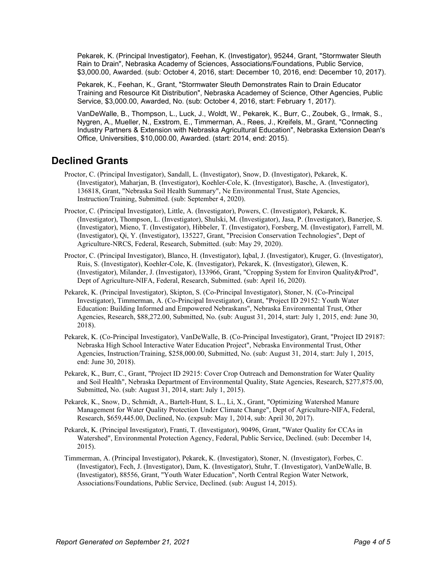Pekarek, K. (Principal Investigator), Feehan, K. (Investigator), 95244, Grant, "Stormwater Sleuth Rain to Drain", Nebraska Academy of Sciences, Associations/Foundations, Public Service, \$3,000.00, Awarded. (sub: October 4, 2016, start: December 10, 2016, end: December 10, 2017).

Pekarek, K., Feehan, K., Grant, "Stormwater Sleuth Demonstrates Rain to Drain Educator Training and Resource Kit Distribution", Nebraska Academey of Science, Other Agencies, Public Service, \$3,000.00, Awarded, No. (sub: October 4, 2016, start: February 1, 2017).

VanDeWalle, B., Thompson, L., Luck, J., Woldt, W., Pekarek, K., Burr, C., Zoubek, G., Irmak, S., Nygren, A., Mueller, N., Exstrom, E., Timmerman, A., Rees, J., Kreifels, M., Grant, "Connecting Industry Partners & Extension with Nebraska Agricultural Education", Nebraska Extension Dean's Office, Universities, \$10,000.00, Awarded. (start: 2014, end: 2015).

## **Declined Grants**

- Proctor, C. (Principal Investigator), Sandall, L. (Investigator), Snow, D. (Investigator), Pekarek, K. (Investigator), Maharjan, B. (Investigator), Koehler-Cole, K. (Investigator), Basche, A. (Investigator), 136818, Grant, "Nebraska Soil Health Summary", Ne Environmental Trust, State Agencies, Instruction/Training, Submitted. (sub: September 4, 2020).
- Proctor, C. (Principal Investigator), Little, A. (Investigator), Powers, C. (Investigator), Pekarek, K. (Investigator), Thompson, L. (Investigator), Shulski, M. (Investigator), Jasa, P. (Investigator), Banerjee, S. (Investigator), Mieno, T. (Investigator), Hibbeler, T. (Investigator), Forsberg, M. (Investigator), Farrell, M. (Investigator), Qi, Y. (Investigator), 135227, Grant, "Precision Conservation Technologies", Dept of Agriculture-NRCS, Federal, Research, Submitted. (sub: May 29, 2020).
- Proctor, C. (Principal Investigator), Blanco, H. (Investigator), Iqbal, J. (Investigator), Kruger, G. (Investigator), Ruis, S. (Investigator), Koehler-Cole, K. (Investigator), Pekarek, K. (Investigator), Glewen, K. (Investigator), Milander, J. (Investigator), 133966, Grant, "Cropping System for Environ Quality&Prod", Dept of Agriculture-NIFA, Federal, Research, Submitted. (sub: April 16, 2020).
- Pekarek, K. (Principal Investigator), Skipton, S. (Co-Principal Investigator), Stoner, N. (Co-Principal Investigator), Timmerman, A. (Co-Principal Investigator), Grant, "Project ID 29152: Youth Water Education: Building Informed and Empowered Nebraskans", Nebraska Environmental Trust, Other Agencies, Research, \$88,272.00, Submitted, No. (sub: August 31, 2014, start: July 1, 2015, end: June 30, 2018).
- Pekarek, K. (Co-Principal Investigator), VanDeWalle, B. (Co-Principal Investigator), Grant, "Project ID 29187: Nebraska High School Interactive Water Education Project", Nebraska Environmental Trust, Other Agencies, Instruction/Training, \$258,000.00, Submitted, No. (sub: August 31, 2014, start: July 1, 2015, end: June 30, 2018).
- Pekarek, K., Burr, C., Grant, "Project ID 29215: Cover Crop Outreach and Demonstration for Water Quality and Soil Health", Nebraska Department of Environmental Quality, State Agencies, Research, \$277,875.00, Submitted, No. (sub: August 31, 2014, start: July 1, 2015).
- Pekarek, K., Snow, D., Schmidt, A., Bartelt-Hunt, S. L., Li, X., Grant, "Optimizing Watershed Manure Management for Water Quality Protection Under Climate Change", Dept of Agriculture-NIFA, Federal, Research, \$659,445.00, Declined, No. (expsub: May 1, 2014, sub: April 30, 2017).
- Pekarek, K. (Principal Investigator), Franti, T. (Investigator), 90496, Grant, "Water Quality for CCAs in Watershed", Environmental Protection Agency, Federal, Public Service, Declined. (sub: December 14, 2015).
- Timmerman, A. (Principal Investigator), Pekarek, K. (Investigator), Stoner, N. (Investigator), Forbes, C. (Investigator), Fech, J. (Investigator), Dam, K. (Investigator), Stuhr, T. (Investigator), VanDeWalle, B. (Investigator), 88556, Grant, "Youth Water Education", North Central Region Water Network, Associations/Foundations, Public Service, Declined. (sub: August 14, 2015).